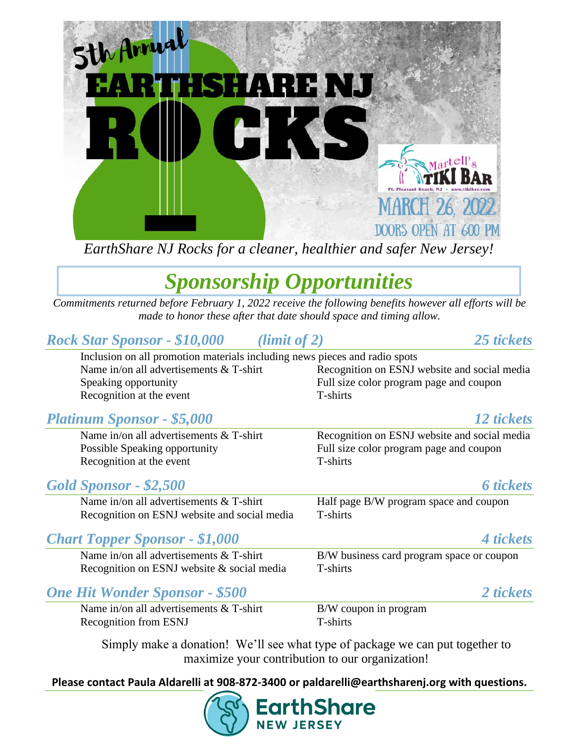

*EarthShare NJ Rocks for a cleaner, healthier and safer New Jersey!*

# *Sponsorship Opportunities*

*Commitments returned before February 1, 2022 receive the following benefits however all efforts will be made to honor these after that date should space and timing allow.*

### *Rock Star Sponsor - \$10,000 (limit of 2) 25 tickets*

Inclusion on all promotion materials including news pieces and radio spots Speaking opportunity **Full size color program page and coupon** Recognition at the event T-shirts

# Name in/on all advertisements & T-shirt Recognition on ESNJ website and social media

### *Platinum Sponsor - \$5,000 12 tickets*

Recognition at the event T-shirts

### *Gold Sponsor - \$2,500 6 tickets*

Name in/on all advertisements  $&$  T-shirt Half page B/W program space and coupon Recognition on ESNJ website and social media T-shirts

### *Chart Topper Sponsor - \$1,000 4 tickets*

Name in/on all advertisements  $&$  T-shirt B/W business card program space or coupon Recognition on ESNJ website & social media T-shirts

Name in/on all advertisements  $&$  T-shirt Recognition on ESNJ website and social media Possible Speaking opportunity Full size color program page and coupon

### *One Hit Wonder Sponsor - \$500 2 tickets*

Name in/on all advertisements  $&$  T-shirt B/W coupon in program Recognition from ESNJ T-shirts

Simply make a donation! We'll see what type of package we can put together to maximize your contribution to our organization!

**Please contact Paula Aldarelli at 908-872-3400 or paldarelli@earthsharenj.org with questions.**